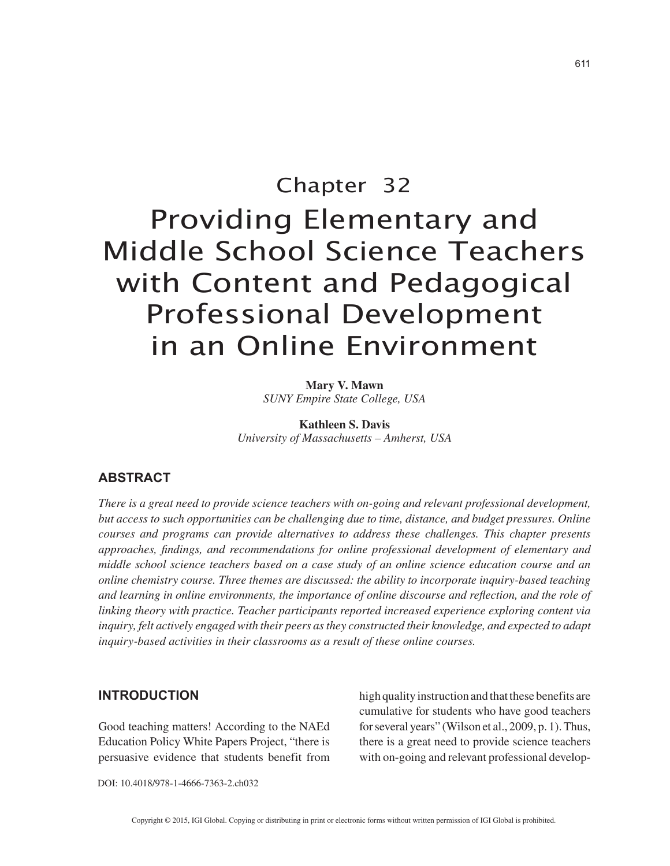# Chapter 32 Providing Elementary and Middle School Science Teachers with Content and Pedagogical Professional Development in an Online Environment

**Mary V. Mawn** *SUNY Empire State College, USA*

**Kathleen S. Davis** *University of Massachusetts – Amherst, USA*

# **ABSTRACT**

*There is a great need to provide science teachers with on-going and relevant professional development, but access to such opportunities can be challenging due to time, distance, and budget pressures. Online courses and programs can provide alternatives to address these challenges. This chapter presents approaches, findings, and recommendations for online professional development of elementary and middle school science teachers based on a case study of an online science education course and an online chemistry course. Three themes are discussed: the ability to incorporate inquiry-based teaching and learning in online environments, the importance of online discourse and reflection, and the role of linking theory with practice. Teacher participants reported increased experience exploring content via inquiry, felt actively engaged with their peers as they constructed their knowledge, and expected to adapt inquiry-based activities in their classrooms as a result of these online courses.*

## **INTRODUCTION**

Good teaching matters! According to the NAEd Education Policy White Papers Project, "there is persuasive evidence that students benefit from high quality instruction and that these benefits are cumulative for students who have good teachers for several years" (Wilson et al., 2009, p. 1). Thus, there is a great need to provide science teachers with on-going and relevant professional develop-

DOI: 10.4018/978-1-4666-7363-2.ch032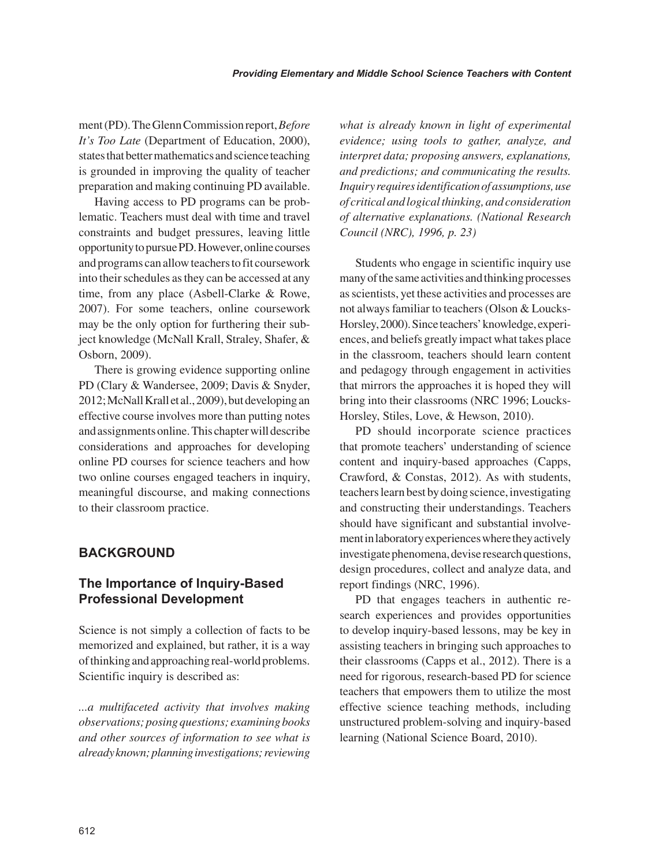ment (PD). The Glenn Commission report, *Before It's Too Late* (Department of Education, 2000), states that better mathematics and science teaching is grounded in improving the quality of teacher preparation and making continuing PD available.

Having access to PD programs can be problematic. Teachers must deal with time and travel constraints and budget pressures, leaving little opportunity to pursue PD. However, online courses and programs can allow teachers to fit coursework into their schedules as they can be accessed at any time, from any place (Asbell-Clarke & Rowe, 2007). For some teachers, online coursework may be the only option for furthering their subject knowledge (McNall Krall, Straley, Shafer, & Osborn, 2009).

There is growing evidence supporting online PD (Clary & Wandersee, 2009; Davis & Snyder, 2012; McNall Krall et al., 2009), but developing an effective course involves more than putting notes and assignments online. This chapter will describe considerations and approaches for developing online PD courses for science teachers and how two online courses engaged teachers in inquiry, meaningful discourse, and making connections to their classroom practice.

# **BACKGROUND**

# **The Importance of Inquiry-Based Professional Development**

Science is not simply a collection of facts to be memorized and explained, but rather, it is a way of thinking and approaching real-world problems. Scientific inquiry is described as:

*...a multifaceted activity that involves making observations; posing questions; examining books and other sources of information to see what is already known; planning investigations; reviewing* 

*what is already known in light of experimental evidence; using tools to gather, analyze, and interpret data; proposing answers, explanations, and predictions; and communicating the results. Inquiry requires identification of assumptions, use of critical and logical thinking, and consideration of alternative explanations. (National Research Council (NRC), 1996, p. 23)*

Students who engage in scientific inquiry use many of the same activities and thinking processes as scientists, yet these activities and processes are not always familiar to teachers (Olson & Loucks-Horsley, 2000). Since teachers' knowledge, experiences, and beliefs greatly impact what takes place in the classroom, teachers should learn content and pedagogy through engagement in activities that mirrors the approaches it is hoped they will bring into their classrooms (NRC 1996; Loucks-Horsley, Stiles, Love, & Hewson, 2010).

PD should incorporate science practices that promote teachers' understanding of science content and inquiry-based approaches (Capps, Crawford, & Constas, 2012). As with students, teachers learn best by doing science, investigating and constructing their understandings. Teachers should have significant and substantial involvement in laboratory experiences where they actively investigate phenomena, devise research questions, design procedures, collect and analyze data, and report findings (NRC, 1996).

PD that engages teachers in authentic research experiences and provides opportunities to develop inquiry-based lessons, may be key in assisting teachers in bringing such approaches to their classrooms (Capps et al., 2012). There is a need for rigorous, research-based PD for science teachers that empowers them to utilize the most effective science teaching methods, including unstructured problem-solving and inquiry-based learning (National Science Board, 2010).